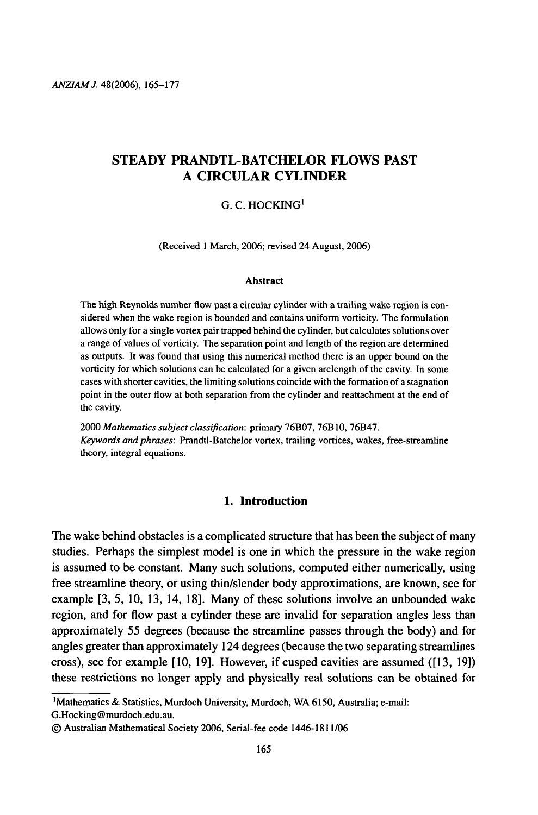# **STEADY PRANDTL-BATCHELOR FLOWS PAST A CIRCULAR CYLINDER**

### G. C. HOCKING1

(Received 1 March, 2006; revised 24 August, 2006)

#### **Abstract**

The high Reynolds number flow past a circular cylinder with a trailing wake region is considered when the wake region is bounded and contains uniform vorticity. The formulation allows only for a single vortex pair trapped behind the cylinder, but calculates solutions over a range of values of vorticity. The separation point and length of the region are determined as outputs. It was found that using this numerical method there is an upper bound on the vorticity for which solutions can be calculated for a given arclength of the cavity. In some cases with shorter cavities, the limiting solutions coincide with the formation of a stagnation point in the outer flow at both separation from the cylinder and reattachment at the end of the cavity.

2000 *Mathematics subject classification:* primary 76B07, 76B10, 76B47. *Keywords and phrases:* Prandtl-Batchelor vortex, trailing vortices, wakes, free-streamline theory, integral equations.

## **1. Introduction**

The wake behind obstacles is a complicated structure that has been the subject of many studies. Perhaps the simplest model is one in which the pressure in the wake region is assumed to be constant. Many such solutions, computed either numerically, using free streamline theory, or using thin/slender body approximations, are known, see for example [3, 5, 10, 13, 14, 18]. Many of these solutions involve an unbounded wake region, and for flow past a cylinder these are invalid for separation angles less than approximately 55 degrees (because the streamline passes through the body) and for angles greater than approximately 124 degrees (because the two separating streamlines cross), see for example [10, 19]. However, if cusped cavities are assumed ([13, 19]) these restrictions no longer apply and physically real solutions can be obtained for

<sup>&#</sup>x27;Mathematics & Statistics, Murdoch University, Murdoch, WA 6150, Australia; e-mail: G.Hocking@murdoch.edu.au.

<sup>©</sup> Australian Mathematical Society 2006, Serial-fee code 1446-1811/06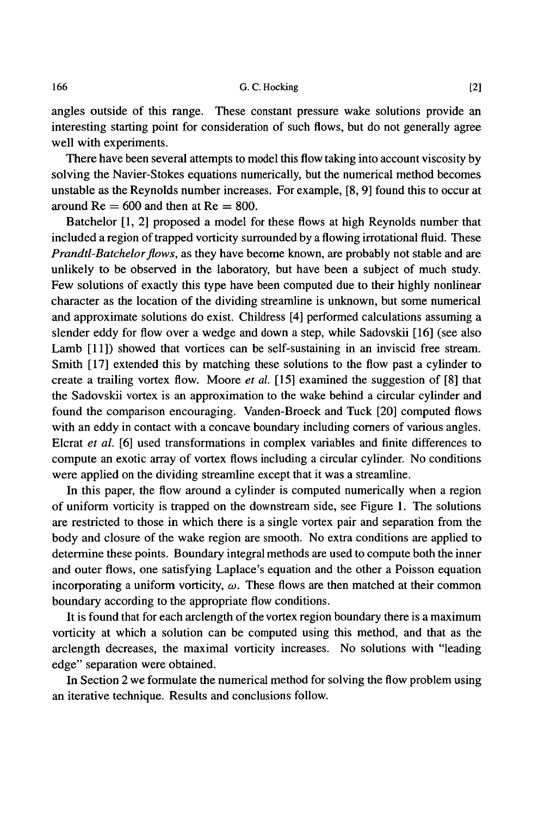angles outside of this range. These constant pressure wake solutions provide an interesting starting point for consideration of such flows, but do not generally agree well with experiments.

There have been several attempts to model this flow taking into account viscosity by solving the Navier-Stokes equations numerically, but the numerical method becomes unstable as the Reynolds number increases. For example, [8, 9] found this to occur at around  $Re = 600$  and then at  $Re = 800$ .

Batchelor [1,2] proposed a model for these flows at high Reynolds number that included a region of trapped vorticity surrounded by a flowing irrotational fluid. These *Prandtl-Batchelor flows,* as they have become known, are probably not stable and are unlikely to be observed in the laboratory, but have been a subject of much study. Few solutions of exactly this type have been computed due to their highly nonlinear character as the location of the dividing streamline is unknown, but some numerical and approximate solutions do exist. Childress [4] performed calculations assuming a slender eddy for flow over a wedge and down a step, while Sadovskii [16] (see also Lamb [11]) showed that vortices can be self-sustaining in an inviscid free stream. Smith [17] extended this by matching these solutions to the flow past a cylinder to create a trailing vortex flow. Moore *et al.* [15] examined the suggestion of [8] that the Sadovskii vortex is an approximation to the wake behind a circular cylinder and found the comparison encouraging. Vanden-Broeck and Tuck [20] computed flows with an eddy in contact with a concave boundary including corners of various angles. Elcrat *et al.* [6] used transformations in complex variables and finite differences to compute an exotic array of vortex flows including a circular cylinder. No conditions were applied on the dividing streamline except that it was a streamline.

In this paper, the flow around a cylinder is computed numerically when a region of uniform vorticity is trapped on the downstream side, see Figure 1. The solutions are restricted to those in which there is a single vortex pair and separation from the body and closure of the wake region are smooth. No extra conditions are applied to determine these points. Boundary integral methods are used to compute both the inner and outer flows, one satisfying Laplace's equation and the other a Poisson equation incorporating a uniform vorticity,  $\omega$ . These flows are then matched at their common boundary according to the appropriate flow conditions.

It is found that for each arclength of the vortex region boundary there is a maximum vorticity at which a solution can be computed using this method, and that as the arclength decreases, the maximal vorticity increases. No solutions with "leading edge" separation were obtained.

In Section 2 we formulate the numerical method for solving the flow problem using an iterative technique. Results and conclusions follow.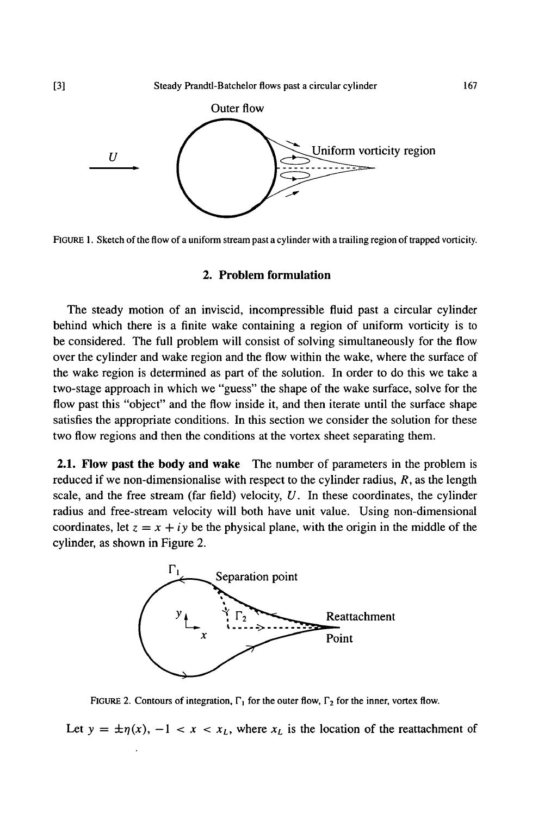

FIGURE 1. Sketch of the flow of a uniform stream past a cylinder with a trailing region of trapped vorticity.

### **2. Problem formulation**

The steady motion of an inviscid, incompressible fluid past a circular cylinder behind which there is a finite wake containing a region of uniform vorticity is to be considered. The full problem will consist of solving simultaneously for the flow over the cylinder and wake region and the flow within the wake, where the surface of the wake region is determined as part of the solution. In order to do this we take a two-stage approach in which we "guess" the shape of the wake surface, solve for the flow past this "object" and the flow inside it, and then iterate until the surface shape satisfies the appropriate conditions. In this section we consider the solution for these two flow regions and then the conditions at the vortex sheet separating them.

**2.1. Flow past the body and wake** The number of parameters in the problem is reduced if we non-dimensionalise with respect to the cylinder radius, *R,* as the length scale, and the free stream (far field) velocity, *U.* In these coordinates, the cylinder radius and free-stream velocity will both have unit value. Using non-dimensional coordinates, let  $z = x + iy$  be the physical plane, with the origin in the middle of the cylinder, as shown in Figure 2.



FIGURE 2. Contours of integration,  $\Gamma_1$  for the outer flow,  $\Gamma_2$  for the inner, vortex flow.

Let  $y = \pm \eta(x)$ ,  $-1 < x < x_L$ , where  $x_L$  is the location of the reattachment of

167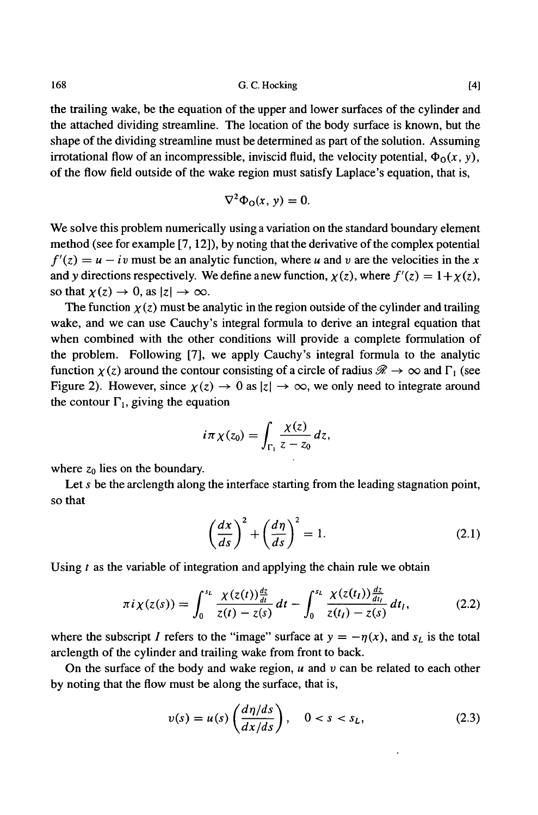168 **G. C. Hocking C. Hocking C. Hocking 168 [4]** 

the trailing wake, be the equation of the upper and lower surfaces of the cylinder and the attached dividing streamline. The location of the body surface is known, but the shape of the dividing streamline must be determined as part of the solution. Assuming irrotational flow of an incompressible, inviscid fluid, the velocity potential,  $\Phi_0(x, y)$ , of the flow field outside of the wake region must satisfy Laplace's equation, that is,

$$
\nabla^2 \Phi_0(x, y) = 0.
$$

We solve this problem numerically using a variation on the standard boundary element method (see for example [7, 12]), by noting that the derivative of the complex potential  $f'(z) = u - iv$  must be an analytic function, where *u* and *v* are the velocities in the *x* and y directions respectively. We define a new function,  $\chi(z)$ , where  $f'(z) = 1 + \chi(z)$ , so that  $\chi(z) \to 0$ , as  $|z| \to \infty$ .

The function  $\chi(z)$  must be analytic in the region outside of the cylinder and trailing wake, and we can use Cauchy's integral formula to derive an integral equation that when combined with the other conditions will provide a complete formulation of the problem. Following [7], we apply Cauchy's integral formula to the analytic function  $\chi(z)$  around the contour consisting of a circle of radius  $\mathcal{R} \to \infty$  and  $\Gamma_1$  (see Figure 2). However, since  $\chi(z) \to 0$  as  $|z| \to \infty$ , we only need to integrate around the contour  $\Gamma_1$ , giving the equation

$$
i\pi\chi(z_0)=\int_{\Gamma_1}\frac{\chi(z)}{z-z_0}\,dz,
$$

where  $z_0$  lies on the boundary.

Let *s* be the arclength along the interface starting from the leading stagnation point, so that

$$
\left(\frac{dx}{ds}\right)^2 + \left(\frac{d\eta}{ds}\right)^2 = 1.
$$
 (2.1)

Using *t* as the variable of integration and applying the chain rule we obtain

$$
\pi i \chi(z(s)) = \int_0^{s_L} \frac{\chi(z(t))\frac{dz}{dt}}{z(t) - z(s)} dt - \int_0^{s_L} \frac{\chi(z(t_I))\frac{dz}{dt_I}}{z(t_I) - z(s)} dt_I, \qquad (2.2)
$$

where the subscript *I* refers to the "image" surface at  $y = -\eta(x)$ , and  $s_L$  is the total arclength of the cylinder and trailing wake from front to back.

On the surface of the body and wake region, *u* and *v* can be related to each other by noting that the flow must be along the surface, that is,

$$
v(s) = u(s) \left( \frac{d\eta/ds}{dx/ds} \right), \quad 0 < s < s_L,\tag{2.3}
$$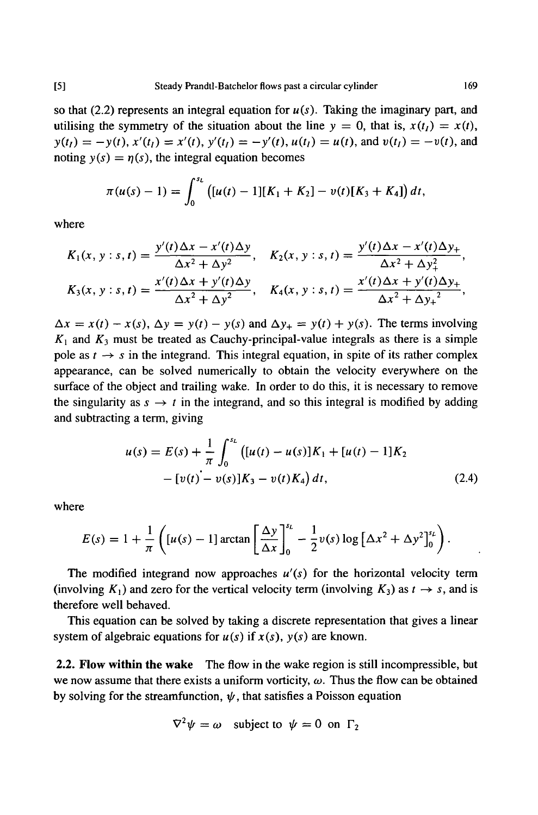so that (2.2) represents an integral equation for  $u(s)$ . Taking the imaginary part, and utilising the symmetry of the situation about the line  $y = 0$ , that is,  $x(t_1) = x(t)$ ,  $y(t_1) = -y(t), x'(t_1) = x'(t), y'(t_1) = -y'(t), u(t_1) = u(t),$  and  $v(t_1) = -v(t)$ , and noting  $y(s) = \eta(s)$ , the integral equation becomes

$$
\pi(u(s)-1)=\int_0^{s_L}\big([u(t)-1][K_1+K_2]-v(t)[K_3+K_4]\big)\,dt,
$$

where

$$
K_1(x, y: s, t) = \frac{y'(t)\Delta x - x'(t)\Delta y}{\Delta x^2 + \Delta y^2}, \quad K_2(x, y: s, t) = \frac{y'(t)\Delta x - x'(t)\Delta y_+}{\Delta x^2 + \Delta y_+^2},
$$
  

$$
K_3(x, y: s, t) = \frac{x'(t)\Delta x + y'(t)\Delta y}{\Delta x^2 + \Delta y^2}, \quad K_4(x, y: s, t) = \frac{x'(t)\Delta x + y'(t)\Delta y_+}{\Delta x^2 + \Delta y_+^2},
$$

 $\Delta x = x(t) - x(s)$ ,  $\Delta y = y(t) - y(s)$  and  $\Delta y_+ = y(t) + y(s)$ . The terms involving  $K_1$  and  $K_3$  must be treated as Cauchy-principal-value integrals as there is a simple pole as  $t \to s$  in the integrand. This integral equation, in spite of its rather complex appearance, can be solved numerically to obtain the velocity everywhere on the surface of the object and trailing wake. In order to do this, it is necessary to remove the singularity as  $s \rightarrow t$  in the integrand, and so this integral is modified by adding and subtracting a term, giving

$$
u(s) = E(s) + \frac{1}{\pi} \int_0^{s_L} \left( [u(t) - u(s)] K_1 + [u(t) - 1] K_2 - [v(t) - v(s)] K_3 - v(t) K_4 \right) dt, \tag{2.4}
$$

where

$$
E(s) = 1 + \frac{1}{\pi} \left( \left[ u(s) - 1 \right] \arctan \left[ \frac{\Delta y}{\Delta x} \right]_0^{s_L} - \frac{1}{2} v(s) \log \left[ \Delta x^2 + \Delta y^2 \right]_0^{s_L} \right).
$$

The modified integrand now approaches  $u'(s)$  for the horizontal velocity term (involving  $K_1$ ) and zero for the vertical velocity term (involving  $K_3$ ) as  $t \to s$ , and is therefore well behaved.

This equation can be solved by taking a discrete representation that gives a linear system of algebraic equations for *u(s)* if *x(s), y(s)* are known.

**2.2. Flow within the wake** The flow in the wake region is still incompressible, but we now assume that there exists a uniform vorticity,  $\omega$ . Thus the flow can be obtained by solving for the streamfunction,  $\psi$ , that satisfies a Poisson equation

$$
\nabla^2 \psi = \omega \quad \text{subject to} \quad \psi = 0 \quad \text{on} \quad \Gamma_2
$$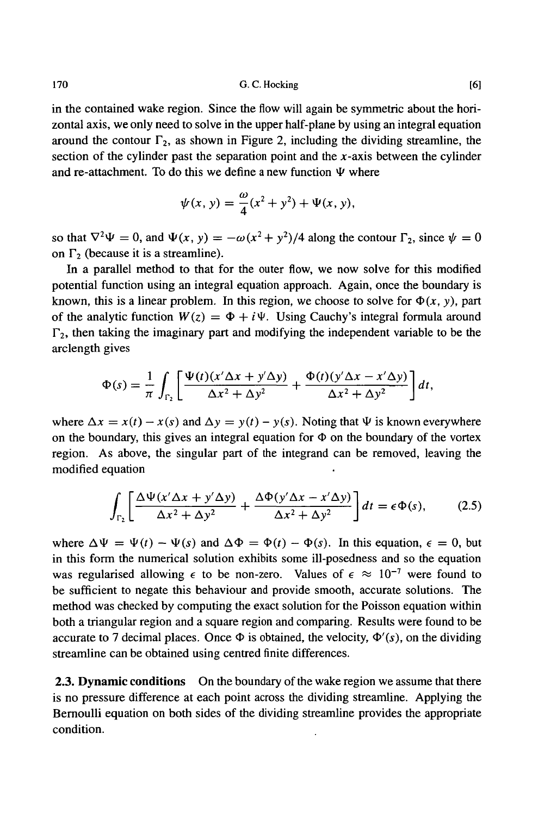$170$  G. C. Hocking  $\left(6\right)$ 

in the contained wake region. Since the flow will again be symmetric about the horizontal axis, we only need to solve in the upper half-plane by using an integral equation around the contour  $\Gamma_2$ , as shown in Figure 2, including the dividing streamline, the section of the cylinder past the separation point and the  $x$ -axis between the cylinder and re-attachment. To do this we define a new function  $\Psi$  where

$$
\psi(x, y) = \frac{\omega}{4}(x^2 + y^2) + \Psi(x, y),
$$

so that  $\nabla^2 \Psi = 0$ , and  $\Psi(x, y) = -\omega(x^2 + y^2)/4$  along the contour  $\Gamma_2$ , since  $\psi = 0$ on  $\Gamma_2$  (because it is a streamline).

In a parallel method to that for the outer flow, we now solve for this modified potential function using an integral equation approach. Again, once the boundary is known, this is a linear problem. In this region, we choose to solve for  $\Phi(x, y)$ , part of the analytic function  $W(z) = \Phi + i\Psi$ . Using Cauchy's integral formula around  $\Gamma_2$ , then taking the imaginary part and modifying the independent variable to be the arclength gives

$$
\Phi(s) = \frac{1}{\pi} \int_{\Gamma_2} \left[ \frac{\Psi(t)(x'\Delta x + y'\Delta y)}{\Delta x^2 + \Delta y^2} + \frac{\Phi(t)(y'\Delta x - x'\Delta y)}{\Delta x^2 + \Delta y^2} \right] dt,
$$

where  $\Delta x = x(t) - x(s)$  and  $\Delta y = y(t) - y(s)$ . Noting that  $\Psi$  is known everywhere on the boundary, this gives an integral equation for  $\Phi$  on the boundary of the vortex region. As above, the singular part of the integrand can be removed, leaving the modified equation

$$
\int_{\Gamma_2} \left[ \frac{\Delta \Psi(x' \Delta x + y' \Delta y)}{\Delta x^2 + \Delta y^2} + \frac{\Delta \Phi(y' \Delta x - x' \Delta y)}{\Delta x^2 + \Delta y^2} \right] dt = \epsilon \Phi(s), \tag{2.5}
$$

where  $\Delta \Psi = \Psi(t) - \Psi(s)$  and  $\Delta \Phi = \Phi(t) - \Phi(s)$ . In this equation,  $\epsilon = 0$ , but in this form the numerical solution exhibits some ill-posedness and so the equation was regularised allowing  $\epsilon$  to be non-zero. Values of  $\epsilon \approx 10^{-7}$  were found to be sufficient to negate this behaviour and provide smooth, accurate solutions. The method was checked by computing the exact solution for the Poisson equation within both a triangular region and a square region and comparing. Results were found to be accurate to 7 decimal places. Once  $\Phi$  is obtained, the velocity,  $\Phi'(s)$ , on the dividing streamline can be obtained using centred finite differences.

**2.3. Dynamic conditions** On the boundary of the wake region we assume that there is no pressure difference at each point across the dividing streamline. Applying the Bernoulli equation on both sides of the dividing streamline provides the appropriate condition.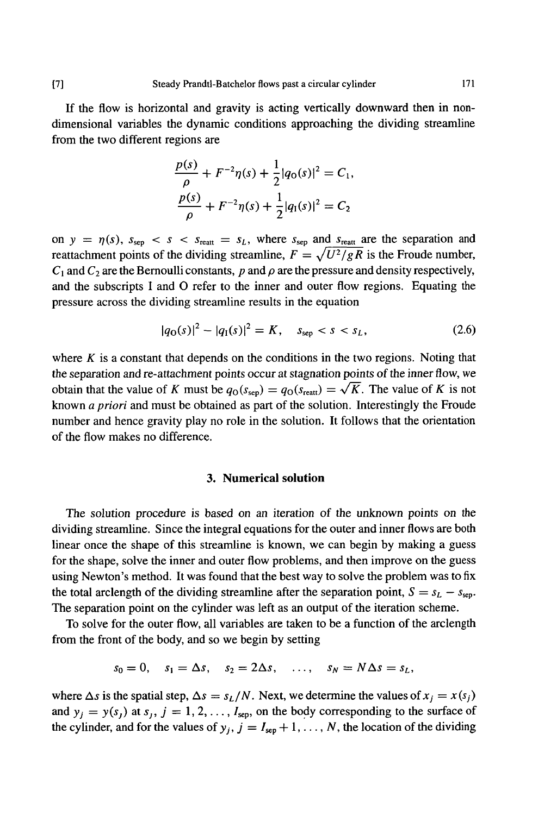If the flow is horizontal and gravity is acting vertically downward then in nondimensional variables the dynamic conditions approaching the dividing streamline from the two different regions are

$$
\frac{p(s)}{\rho} + F^{-2}\eta(s) + \frac{1}{2}|q_0(s)|^2 = C_1,
$$
  

$$
\frac{p(s)}{\rho} + F^{-2}\eta(s) + \frac{1}{2}|q_1(s)|^2 = C_2
$$

on  $y = \eta(s)$ ,  $s_{\text{sep}} < s < s_{\text{reatt}} = s_L$ , where  $s_{\text{sep}}$  and  $s_{\text{reatt}}$  are the separation and reattachment points of the dividing streamline,  $F = \sqrt{U^2/gR}$  is the Froude number,  $C_1$  and  $C_2$  are the Bernoulli constants, p and  $\rho$  are the pressure and density respectively, and the subscripts I and O refer to the inner and outer flow regions. Equating the pressure across the dividing streamline results in the equation

$$
|q_0(s)|^2 - |q_1(s)|^2 = K, \quad s_{\text{sep}} < s < s_L,\tag{2.6}
$$

where *K* is a constant that depends on the conditions in the two regions. Noting that the separation and re-attachment points occur at stagnation points of the inner flow, we obtain that the value of K must be  $q_0(s_{\text{sep}}) = q_0(s_{\text{reat}}) = \sqrt{K}$ . The value of K is not known *a priori* and must be obtained as part of the solution. Interestingly the Froude number and hence gravity play no role in the solution. It follows that the orientation of the flow makes no difference.

### **3. Numerical solution**

The solution procedure is based on an iteration of the unknown points on the dividing streamline. Since the integral equations for the outer and inner flows are both linear once the shape of this streamline is known, we can begin by making a guess for the shape, solve the inner and outer flow problems, and then improve on the guess using Newton's method. It was found that the best way to solve the problem was to fix the total arclength of the dividing streamline after the separation point,  $S = s_L - s_{\text{sep}}$ . The separation point on the cylinder was left as an output of the iteration scheme.

To solve for the outer flow, all variables are taken to be a function of the arclength from the front of the body, and so we begin by setting

$$
s_0=0, \quad s_1=\Delta s, \quad s_2=2\Delta s, \quad \ldots, \quad s_N=N\Delta s=s_L,
$$

where  $\Delta s$  is the spatial step,  $\Delta s = s_L/N$ . Next, we determine the values of  $x_j = x(s_j)$ and  $y_j = y(s_j)$  at  $s_j$ ,  $j = 1, 2, ..., I_{\text{sep}}$ , on the body corresponding to the surface of the cylinder, and for the values of  $y_j$ ,  $j = I_{\text{sep}} + 1, \ldots, N$ , the location of the dividing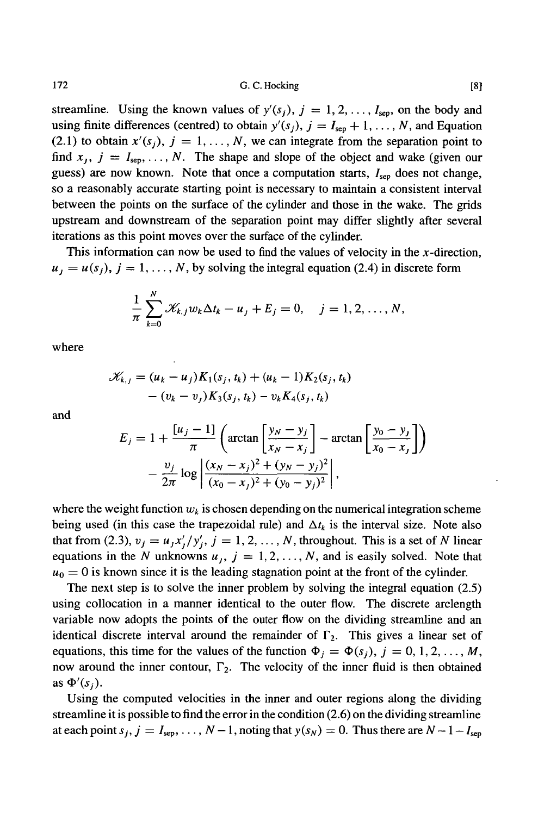streamline. Using the known values of  $y'(s_i)$ ,  $j = 1, 2, ..., I_{\text{sen}}$ , on the body and using finite differences (centred) to obtain  $y'(s_i)$ ,  $j = I_{\text{sep}} + 1, \ldots, N$ , and Equation (2.1) to obtain  $x'(s_i)$ ,  $j = 1, ..., N$ , we can integrate from the separation point to find  $x_j$ ,  $j = I_{\text{sep}}$ ,  $\ldots$ , N. The shape and slope of the object and wake (given our guess) are now known. Note that once a computation starts,  $I_{\text{sen}}$  does not change, so a reasonably accurate starting point is necessary to maintain a consistent interval between the points on the surface of the cylinder and those in the wake. The grids upstream and downstream of the separation point may differ slightly after several iterations as this point moves over the surface of the cylinder.

This information can now be used to find the values of velocity in the *-direction,*  $u_i = u(s_i)$ ,  $j = 1, \ldots, N$ , by solving the integral equation (2.4) in discrete form

$$
\frac{1}{\pi}\sum_{k=0}^N\mathscr{K}_{k,j}w_k\Delta t_k-u_j+E_j=0, \quad j=1,2,\ldots,N,
$$

where

$$
\mathcal{K}_{k,j} = (u_k - u_j)K_1(s_j, t_k) + (u_k - 1)K_2(s_j, t_k) - (v_k - v_j)K_3(s_j, t_k) - v_kK_4(s_j, t_k)
$$

and

$$
E_j = 1 + \frac{[u_j - 1]}{\pi} \left( \arctan \left[ \frac{y_N - y_j}{x_N - x_j} \right] - \arctan \left[ \frac{y_0 - y_j}{x_0 - x_j} \right] \right)
$$

$$
- \frac{v_j}{2\pi} \log \left| \frac{(x_N - x_j)^2 + (y_N - y_j)^2}{(x_0 - x_j)^2 + (y_0 - y_j)^2} \right|,
$$

where the weight function  $w_k$  is chosen depending on the numerical integration scheme being used (in this case the trapezoidal rule) and  $\Delta t_k$  is the interval size. Note also that from (2.3),  $v_j = u_j x'_j/y'_j$ ,  $j = 1, 2, ..., N$ , throughout. This is a set of N linear equations in the *N* unknowns  $u_j$ ,  $j = 1, 2, ..., N$ , and is easily solved. Note that  $u_0 = 0$  is known since it is the leading stagnation point at the front of the cylinder.

The next step is to solve the inner problem by solving the integral equation (2.5) using collocation in a manner identical to the outer flow. The discrete arclength variable now adopts the points of the outer flow on the dividing streamline and an identical discrete interval around the remainder of  $\Gamma_2$ . This gives a linear set of equations, this time for the values of the function  $\Phi_i = \Phi(s_i)$ ,  $j = 0, 1, 2, \ldots, M$ , now around the inner contour,  $\Gamma_2$ . The velocity of the inner fluid is then obtained as  $\Phi'(s_i)$ .

Using the computed velocities in the inner and outer regions along the dividing streamline it is possible to find the error in the condition (2.6) on the dividing streamline at each point  $s_j$ ,  $j = I_{\text{sep}}, \ldots, N-1$ , noting that  $y(s_N) = 0$ . Thus there are  $N-1-I_{\text{sep}}$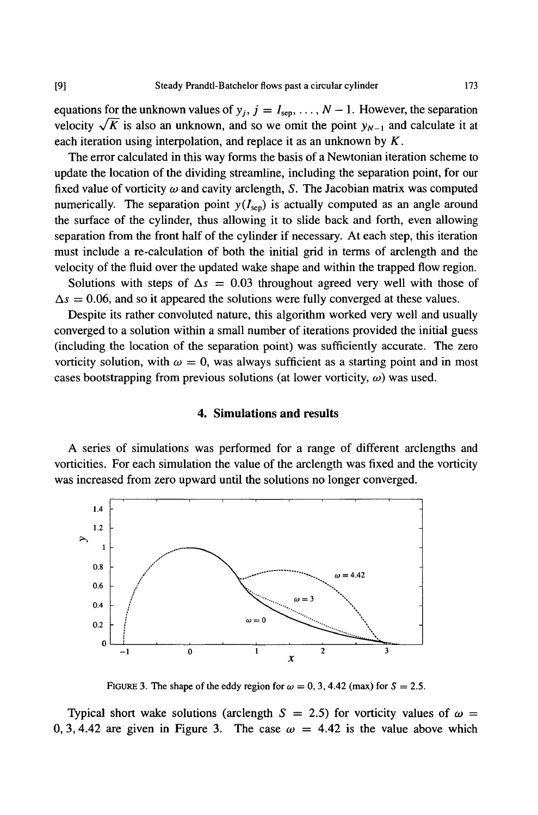equations for the unknown values of  $y_j$ ,  $j = I_{\text{sep}}$ , ...,  $N - 1$ . However, the separation velocity  $\sqrt{K}$  is also an unknown, and so we omit the point  $y_{N-1}$  and calculate it at each iteration using interpolation, and replace it as an unknown by *K.*

The error calculated in this way forms the basis of a Newtonian iteration scheme to update the location of the dividing streamline, including the separation point, for our fixed value of vorticity  $\omega$  and cavity arclength, *S*. The Jacobian matrix was computed numerically. The separation point  $y(I_{\text{sep}})$  is actually computed as an angle around the surface of the cylinder, thus allowing it to slide back and forth, even allowing separation from the front half of the cylinder if necessary. At each step, this iteration must include a re-calculation of both the initial grid in terms of arclength and the velocity of the fluid over the updated wake shape and within the trapped flow region.

Solutions with steps of  $\Delta s = 0.03$  throughout agreed very well with those of  $\Delta s = 0.06$ , and so it appeared the solutions were fully converged at these values.

Despite its rather convoluted nature, this algorithm worked very well and usually converged to a solution within a small number of iterations provided the initial guess (including the location of the separation point) was sufficiently accurate. The zero vorticity solution, with  $\omega = 0$ , was always sufficient as a starting point and in most cases bootstrapping from previous solutions (at lower vorticity,  $\omega$ ) was used.

## **4. Simulations and results**

A series of simulations was performed for a range of different arclengths and vorticities. For each simulation the value of the arclength was fixed and the vorticity was increased from zero upward until the solutions no longer converged.



FIGURE 3. The shape of the eddy region for  $\omega = 0$ , 3, 4.42 (max) for  $S = 2.5$ .

Typical short wake solutions (arclength  $S = 2.5$ ) for vorticity values of  $\omega =$ 0, 3, 4.42 are given in Figure 3. The case  $\omega = 4.42$  is the value above which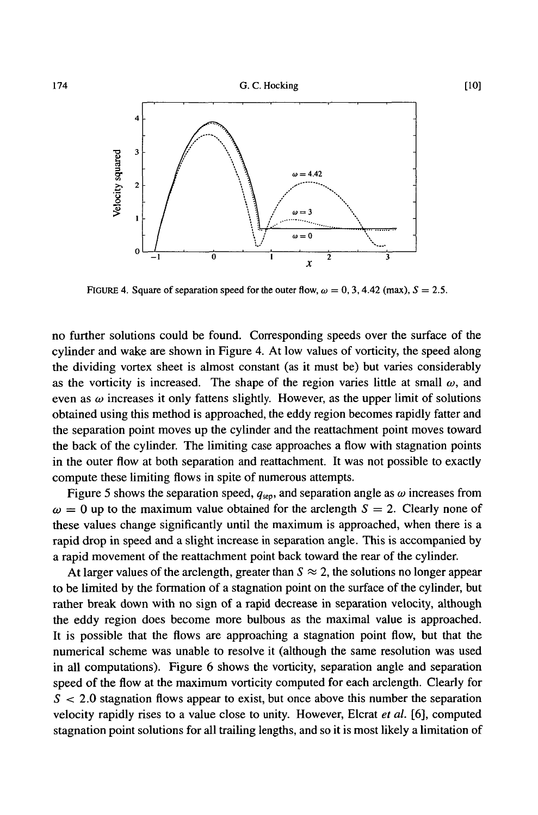

FIGURE 4. Square of separation speed for the outer flow,  $\omega = 0, 3, 4.42$  (max),  $S = 2.5$ .

no further solutions could be found. Corresponding speeds over the surface of the cylinder and wake are shown in Figure 4. At low values of vorticity, the speed along the dividing vortex sheet is almost constant (as it must be) but varies considerably as the vorticity is increased. The shape of the region varies little at small  $\omega$ , and even as  $\omega$  increases it only fattens slightly. However, as the upper limit of solutions obtained using this method is approached, the eddy region becomes rapidly fatter and the separation point moves up the cylinder and the reattachment point moves toward the back of the cylinder. The limiting case approaches a flow with stagnation points in the outer flow at both separation and reattachment. It was not possible to exactly compute these limiting flows in spite of numerous attempts.

Figure 5 shows the separation speed,  $q_{sep}$ , and separation angle as  $\omega$  increases from  $\omega = 0$  up to the maximum value obtained for the arclength  $S = 2$ . Clearly none of these values change significantly until the maximum is approached, when there is a rapid drop in speed and a slight increase in separation angle. This is accompanied by a rapid movement of the reattachment point back toward the rear of the cylinder.

At larger values of the arclength, greater than  $S \approx 2$ , the solutions no longer appear to be limited by the formation of a stagnation point on the surface of the cylinder, but rather break down with no sign of a rapid decrease in separation velocity, although the eddy region does become more bulbous as the maximal value is approached. It is possible that the flows are approaching a stagnation point flow, but that the numerical scheme was unable to resolve it (although the same resolution was used in all computations). Figure 6 shows the vorticity, separation angle and separation speed of the flow at the maximum vorticity computed for each arclength. Clearly for  $S < 2.0$  stagnation flows appear to exist, but once above this number the separation velocity rapidly rises to a value close to unity. However, Elcrat *et al.* [6], computed stagnation point solutions for all trailing lengths, and so it is most likely a limitation of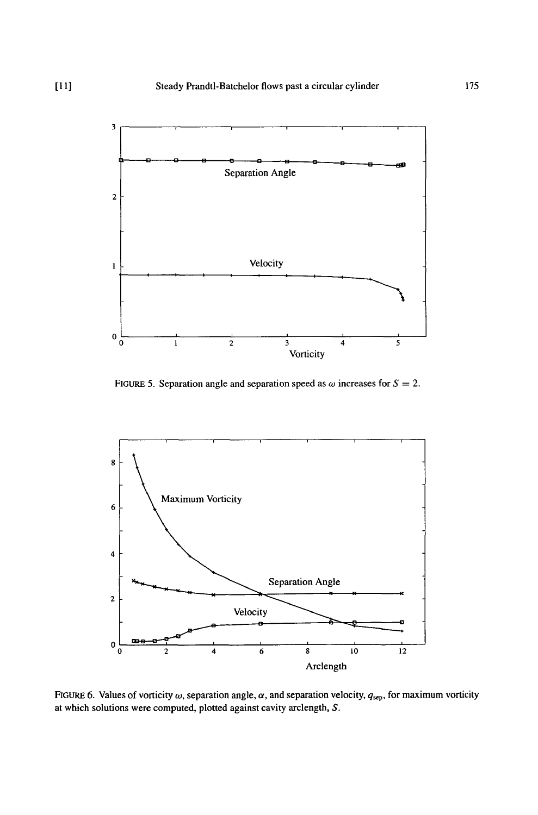

FIGURE 5. Separation angle and separation speed as  $\omega$  increases for  $S = 2$ .



FIGURE 6. Values of vorticity  $\omega$ , separation angle,  $\alpha$ , and separation velocity,  $q_{sep}$ , for maximum vorticity at which solutions were computed, plotted against cavity arclength, *S.*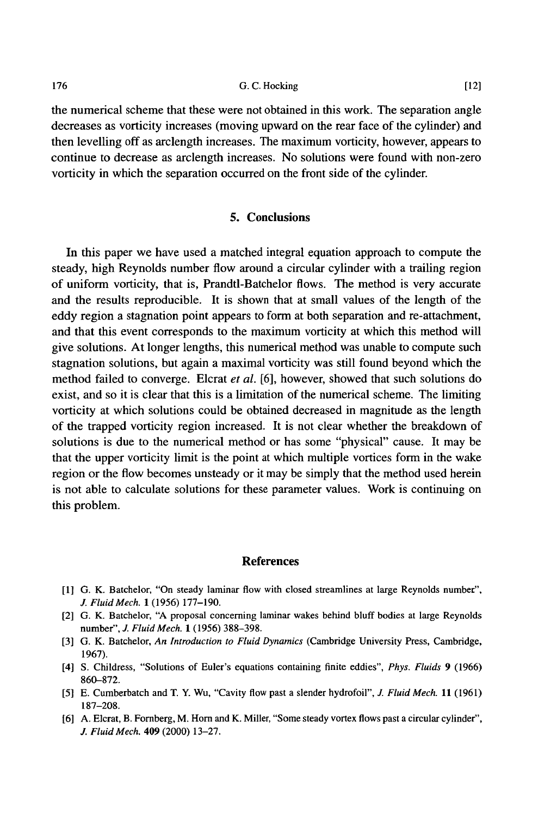the numerical scheme that these were not obtained in this work. The separation angle decreases as vorticity increases (moving upward on the rear face of the cylinder) and then levelling off as arclength increases. The maximum vorticity, however, appears to continue to decrease as arclength increases. No solutions were found with non-zero vorticity in which the separation occurred on the front side of the cylinder.

## **5. Conclusions**

In this paper we have used a matched integral equation approach to compute the steady, high Reynolds number flow around a circular cylinder with a trailing region of uniform vorticity, that is, Prandtl-Batchelor flows. The method is very accurate and the results reproducible. It is shown that at small values of the length of the eddy region a stagnation point appears to form at both separation and re-attachment, and that this event corresponds to the maximum vorticity at which this method will give solutions. At longer lengths, this numerical method was unable to compute such stagnation solutions, but again a maximal vorticity was still found beyond which the method failed to converge. Elcrat *et al.* [6], however, showed that such solutions do exist, and so it is clear that this is a limitation of the numerical scheme. The limiting vorticity at which solutions could be obtained decreased in magnitude as the length of the trapped vorticity region increased. It is not clear whether the breakdown of solutions is due to the numerical method or has some "physical" cause. It may be that the upper vorticity limit is the point at which multiple vortices form in the wake region or the flow becomes unsteady or it may be simply that the method used herein is not able to calculate solutions for these parameter values. Work is continuing on this problem.

### **References**

- [1] G. K. Batchelor, "On steady laminar flow with closed streamlines at large Reynolds number", *J. Fluid Mech.* 1 (1956) 177-190.
- [2] G. K. Batchelor, "A proposal concerning laminar wakes behind bluff bodies at large Reynolds number", / *Fluid Mech.* 1 (1956) 388-398.
- [3] G. K. Batchelor, *An Introduction to Fluid Dynamics* (Cambridge University Press, Cambridge, 1967).
- [4] S. Childress, "Solutions of Euler's equations containing finite eddies", *Phys. Fluids* 9 (1966) 860-872.
- [5] E. Cumberbatch and T. Y. Wu, "Cavity flow past a slender hydrofoil", *J. Fluid Mech.* 11 (1961) 187-208.
- [6] A. Elcrat, B. Fornberg, M. Horn and K. Miller, "Some steady vortex flows past a circular cylinder", *J. Fluid Mech.* **409** (2000) 13-27.